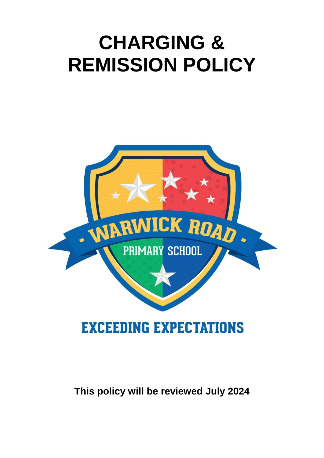# **CHARGING & REMISSION POLICY**



# **This policy will be reviewed July 2024**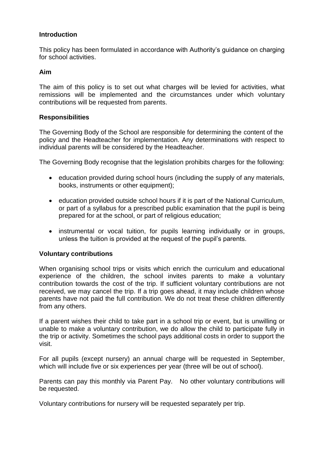# **Introduction**

This policy has been formulated in accordance with Authority's guidance on charging for school activities.

# **Aim**

The aim of this policy is to set out what charges will be levied for activities, what remissions will be implemented and the circumstances under which voluntary contributions will be requested from parents.

# **Responsibilities**

The Governing Body of the School are responsible for determining the content of the policy and the Headteacher for implementation. Any determinations with respect to individual parents will be considered by the Headteacher.

The Governing Body recognise that the legislation prohibits charges for the following:

- education provided during school hours (including the supply of any materials, books, instruments or other equipment);
- education provided outside school hours if it is part of the National Curriculum, or part of a syllabus for a prescribed public examination that the pupil is being prepared for at the school, or part of religious education;
- instrumental or vocal tuition, for pupils learning individually or in groups, unless the tuition is provided at the request of the pupil's parents.

# **Voluntary contributions**

When organising school trips or visits which enrich the curriculum and educational experience of the children, the school invites parents to make a voluntary contribution towards the cost of the trip. If sufficient voluntary contributions are not received, we may cancel the trip. If a trip goes ahead, it may include children whose parents have not paid the full contribution. We do not treat these children differently from any others.

If a parent wishes their child to take part in a school trip or event, but is unwilling or unable to make a voluntary contribution, we do allow the child to participate fully in the trip or activity. Sometimes the school pays additional costs in order to support the visit.

For all pupils (except nursery) an annual charge will be requested in September, which will include five or six experiences per year (three will be out of school).

Parents can pay this monthly via Parent Pay. No other voluntary contributions will be requested.

Voluntary contributions for nursery will be requested separately per trip.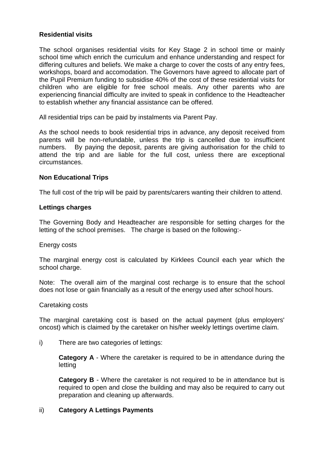# **Residential visits**

The school organises residential visits for Key Stage 2 in school time or mainly school time which enrich the curriculum and enhance understanding and respect for differing cultures and beliefs. We make a charge to cover the costs of any entry fees, workshops, board and accomodation. The Governors have agreed to allocate part of the Pupil Premium funding to subsidise 40% of the cost of these residential visits for children who are eligible for free school meals. Any other parents who are experiencing financial difficulty are invited to speak in confidence to the Headteacher to establish whether any financial assistance can be offered.

All residential trips can be paid by instalments via Parent Pay.

As the school needs to book residential trips in advance, any deposit received from parents will be non-refundable, unless the trip is cancelled due to insufficient numbers. By paying the deposit, parents are giving authorisation for the child to attend the trip and are liable for the full cost, unless there are exceptional circumstances.

# **Non Educational Trips**

The full cost of the trip will be paid by parents/carers wanting their children to attend.

#### **Lettings charges**

The Governing Body and Headteacher are responsible for setting charges for the letting of the school premises. The charge is based on the following:-

#### Energy costs

The marginal energy cost is calculated by Kirklees Council each year which the school charge.

Note: The overall aim of the marginal cost recharge is to ensure that the school does not lose or gain financially as a result of the energy used after school hours.

#### Caretaking costs

The marginal caretaking cost is based on the actual payment (plus employers' oncost) which is claimed by the caretaker on his/her weekly lettings overtime claim.

i) There are two categories of lettings:

**Category A** - Where the caretaker is required to be in attendance during the letting

**Category B** - Where the caretaker is not required to be in attendance but is required to open and close the building and may also be required to carry out preparation and cleaning up afterwards.

# ii) **Category A Lettings Payments**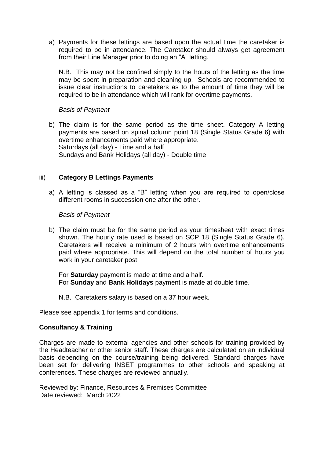a) Payments for these lettings are based upon the actual time the caretaker is required to be in attendance. The Caretaker should always get agreement from their Line Manager prior to doing an "A" letting.

N.B. This may not be confined simply to the hours of the letting as the time may be spent in preparation and cleaning up. Schools are recommended to issue clear instructions to caretakers as to the amount of time they will be required to be in attendance which will rank for overtime payments.

#### *Basis of Payment*

b) The claim is for the same period as the time sheet. Category A letting payments are based on spinal column point 18 (Single Status Grade 6) with overtime enhancements paid where appropriate. Saturdays (all day) - Time and a half Sundays and Bank Holidays (all day) - Double time

# iii) **Category B Lettings Payments**

a) A letting is classed as a "B" letting when you are required to open/close different rooms in succession one after the other.

#### *Basis of Payment*

b) The claim must be for the same period as your timesheet with exact times shown. The hourly rate used is based on SCP 18 (Single Status Grade 6). Caretakers will receive a minimum of 2 hours with overtime enhancements paid where appropriate. This will depend on the total number of hours you work in your caretaker post.

For **Saturday** payment is made at time and a half. For **Sunday** and **Bank Holidays** payment is made at double time.

N.B. Caretakers salary is based on a 37 hour week.

Please see appendix 1 for terms and conditions.

# **Consultancy & Training**

Charges are made to external agencies and other schools for training provided by the Headteacher or other senior staff. These charges are calculated on an individual basis depending on the course/training being delivered. Standard charges have been set for delivering INSET programmes to other schools and speaking at conferences. These charges are reviewed annually.

Reviewed by: Finance, Resources & Premises Committee Date reviewed: March 2022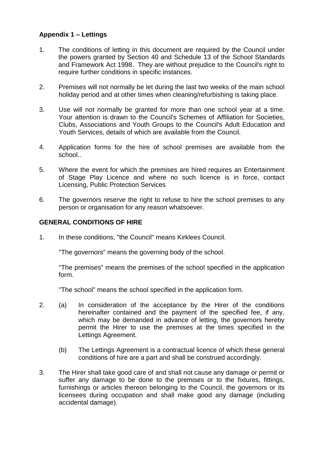# **Appendix 1 – Lettings**

- 1. The conditions of letting in this document are required by the Council under the powers granted by Section 40 and Schedule 13 of the School Standards and Framework Act 1998. They are without prejudice to the Council's right to require further conditions in specific instances.
- 2. Premises will not normally be let during the last two weeks of the main school holiday period and at other times when cleaning/refurbishing is taking place.
- 3. Use will not normally be granted for more than one school year at a time. Your attention is drawn to the Council's Schemes of Affiliation for Societies, Clubs, Associations and Youth Groups to the Council's Adult Education and Youth Services, details of which are available from the Council.
- 4. Application forms for the hire of school premises are available from the school..
- 5. Where the event for which the premises are hired requires an Entertainment of Stage Play Licence and where no such licence is in force, contact Licensing, Public Protection Services
- 6. The governors reserve the right to refuse to hire the school premises to any person or organisation for any reason whatsoever.

# **GENERAL CONDITIONS OF HIRE**

1. In these conditions, "the Council" means Kirklees Council.

"The governors" means the governing body of the school.

"The premises" means the premises of the school specified in the application form.

"The school" means the school specified in the application form.

- 2. (a) In consideration of the acceptance by the Hirer of the conditions hereinafter contained and the payment of the specified fee, if any, which may be demanded in advance of letting, the governors hereby permit the Hirer to use the premises at the times specified in the Lettings Agreement.
	- (b) The Lettings Agreement is a contractual licence of which these general conditions of hire are a part and shall be construed accordingly.
- 3. The Hirer shall take good care of and shall not cause any damage or permit or suffer any damage to be done to the premises or to the fixtures, fittings, furnishings or articles thereon belonging to the Council, the governors or its licensees during occupation and shall make good any damage (including accidental damage).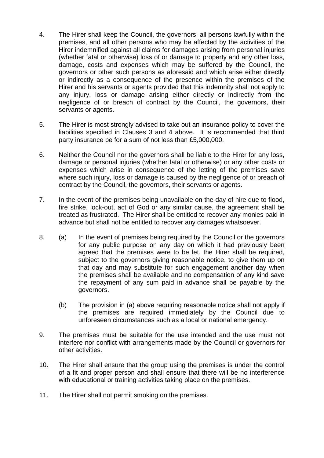- 4. The Hirer shall keep the Council, the governors, all persons lawfully within the premises, and all other persons who may be affected by the activities of the Hirer indemnified against all claims for damages arising from personal injuries (whether fatal or otherwise) loss of or damage to property and any other loss, damage, costs and expenses which may be suffered by the Council, the governors or other such persons as aforesaid and which arise either directly or indirectly as a consequence of the presence within the premises of the Hirer and his servants or agents provided that this indemnity shall not apply to any injury, loss or damage arising either directly or indirectly from the negligence of or breach of contract by the Council, the governors, their servants or agents.
- 5. The Hirer is most strongly advised to take out an insurance policy to cover the liabilities specified in Clauses 3 and 4 above. It is recommended that third party insurance be for a sum of not less than £5,000,000.
- 6. Neither the Council nor the governors shall be liable to the Hirer for any loss, damage or personal injuries (whether fatal or otherwise) or any other costs or expenses which arise in consequence of the letting of the premises save where such injury, loss or damage is caused by the negligence of or breach of contract by the Council, the governors, their servants or agents.
- 7. In the event of the premises being unavailable on the day of hire due to flood, fire strike, lock-out, act of God or any similar cause, the agreement shall be treated as frustrated. The Hirer shall be entitled to recover any monies paid in advance but shall not be entitled to recover any damages whatsoever.
- 8. (a) In the event of premises being required by the Council or the governors for any public purpose on any day on which it had previously been agreed that the premises were to be let, the Hirer shall be required, subject to the governors giving reasonable notice, to give them up on that day and may substitute for such engagement another day when the premises shall be available and no compensation of any kind save the repayment of any sum paid in advance shall be payable by the governors.
	- (b) The provision in (a) above requiring reasonable notice shall not apply if the premises are required immediately by the Council due to unforeseen circumstances such as a local or national emergency.
- 9. The premises must be suitable for the use intended and the use must not interfere nor conflict with arrangements made by the Council or governors for other activities.
- 10. The Hirer shall ensure that the group using the premises is under the control of a fit and proper person and shall ensure that there will be no interference with educational or training activities taking place on the premises.
- 11. The Hirer shall not permit smoking on the premises.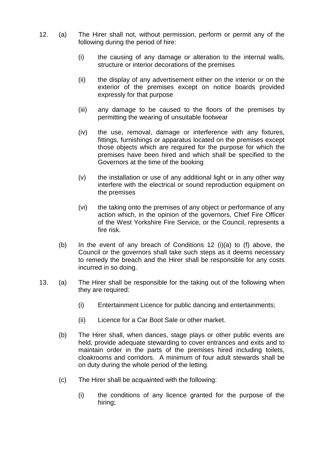- 12. (a) The Hirer shall not, without permission, perform or permit any of the following during the period of hire:
	- (i) the causing of any damage or alteration to the internal walls, structure or interior decorations of the premises
	- (ii) the display of any advertisement either on the interior or on the exterior of the premises except on notice boards provided expressly for that purpose
	- (iii) any damage to be caused to the floors of the premises by permitting the wearing of unsuitable footwear
	- (iv) the use, removal, damage or interference with any fixtures, fittings, furnishings or apparatus located on the premises except those objects which are required for the purpose for which the premises have been hired and which shall be specified to the Governors at the time of the booking
	- (v) the installation or use of any additional light or in any other way interfere with the electrical or sound reproduction equipment on the premises
	- (vi) the taking onto the premises of any object or performance of any action which, in the opinion of the governors, Chief Fire Officer of the West Yorkshire Fire Service, or the Council, represents a fire risk.
	- (b) In the event of any breach of Conditions 12 (i)(a) to (f) above, the Council or the governors shall take such steps as it deems necessary to remedy the breach and the Hirer shall be responsible for any costs incurred in so doing.
- 13. (a) The Hirer shall be responsible for the taking out of the following when they are required:
	- (i) Entertainment Licence for public dancing and entertainments;
	- (ii) Licence for a Car Boot Sale or other market.
	- (b) The Hirer shall, when dances, stage plays or other public events are held, provide adequate stewarding to cover entrances and exits and to maintain order in the parts of the premises hired including toilets, cloakrooms and corridors. A minimum of four adult stewards shall be on duty during the whole period of the letting.
	- (c) The Hirer shall be acquainted with the following:
		- (i) the conditions of any licence granted for the purpose of the hiring;